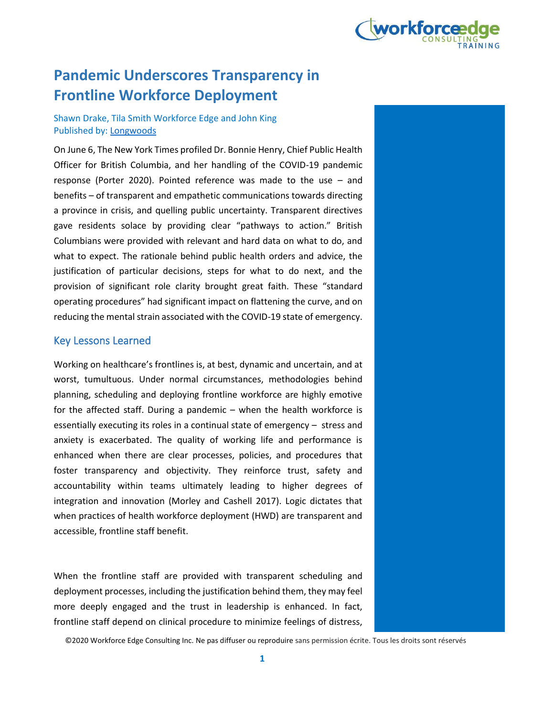

# **Pandemic Underscores Transparency in Frontline Workforce Deployment**

# Shawn Drake, Tila Smith Workforce Edge and John King Published by: Longwoods

On June 6, The New York Times profiled Dr. Bonnie Henry, Chief Public Health Officer for British Columbia, and her handling of the COVID-19 pandemic response (Porter 2020). Pointed reference was made to the use – and benefits – of transparent and empathetic communications towards directing a province in crisis, and quelling public uncertainty. Transparent directives gave residents solace by providing clear "pathways to action." British Columbians were provided with relevant and hard data on what to do, and what to expect. The rationale behind public health orders and advice, the justification of particular decisions, steps for what to do next, and the provision of significant role clarity brought great faith. These "standard operating procedures" had significant impact on flattening the curve, and on reducing the mental strain associated with the COVID-19 state of emergency.

# Key Lessons Learned

Working on healthcare's frontlines is, at best, dynamic and uncertain, and at worst, tumultuous. Under normal circumstances, methodologies behind planning, scheduling and deploying frontline workforce are highly emotive for the affected staff. During a pandemic – when the health workforce is essentially executing its roles in a continual state of emergency – stress and anxiety is exacerbated. The quality of working life and performance is enhanced when there are clear processes, policies, and procedures that foster transparency and objectivity. They reinforce trust, safety and accountability within teams ultimately leading to higher degrees of integration and innovation (Morley and Cashell 2017). Logic dictates that when practices of health workforce deployment (HWD) are transparent and accessible, frontline staff benefit.

When the frontline staff are provided with transparent scheduling and deployment processes, including the justification behind them, they may feel more deeply engaged and the trust in leadership is enhanced. In fact, frontline staff depend on clinical procedure to minimize feelings of distress,

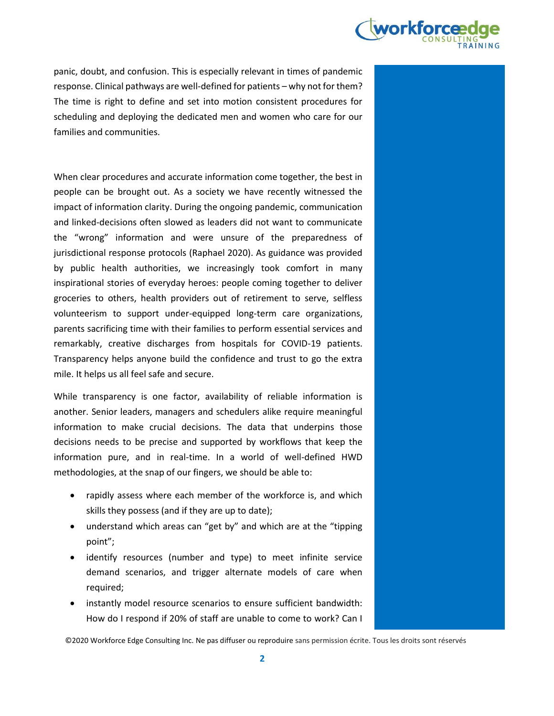

panic, doubt, and confusion. This is especially relevant in times of pandemic response. Clinical pathways are well-defined for patients – why not for them? The time is right to define and set into motion consistent procedures for scheduling and deploying the dedicated men and women who care for our families and communities.

When clear procedures and accurate information come together, the best in people can be brought out. As a society we have recently witnessed the impact of information clarity. During the ongoing pandemic, communication and linked-decisions often slowed as leaders did not want to communicate the "wrong" information and were unsure of the preparedness of jurisdictional response protocols (Raphael 2020). As guidance was provided by public health authorities, we increasingly took comfort in many inspirational stories of everyday heroes: people coming together to deliver groceries to others, health providers out of retirement to serve, selfless volunteerism to support under-equipped long-term care organizations, parents sacrificing time with their families to perform essential services and remarkably, creative discharges from hospitals for COVID-19 patients. Transparency helps anyone build the confidence and trust to go the extra mile. It helps us all feel safe and secure.

While transparency is one factor, availability of reliable information is another. Senior leaders, managers and schedulers alike require meaningful information to make crucial decisions. The data that underpins those decisions needs to be precise and supported by workflows that keep the information pure, and in real-time. In a world of well-defined HWD methodologies, at the snap of our fingers, we should be able to:

- rapidly assess where each member of the workforce is, and which skills they possess (and if they are up to date);
- understand which areas can "get by" and which are at the "tipping point";
- identify resources (number and type) to meet infinite service demand scenarios, and trigger alternate models of care when required;
- instantly model resource scenarios to ensure sufficient bandwidth: How do I respond if 20% of staff are unable to come to work? Can I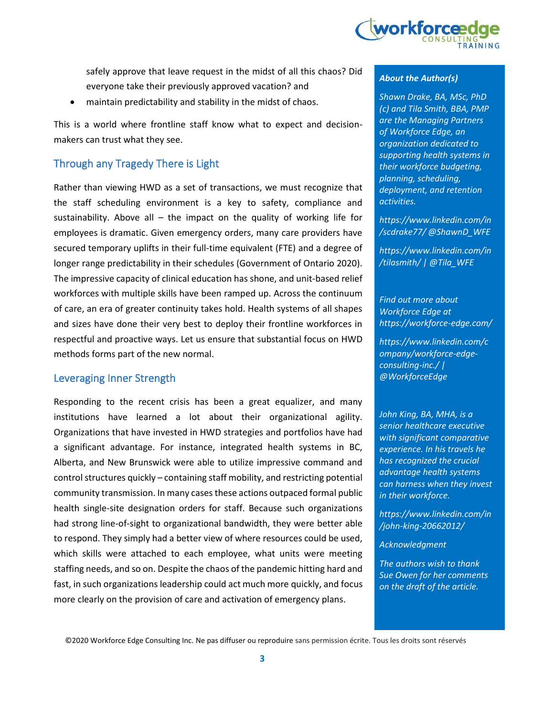

safely approve that leave request in the midst of all this chaos? Did everyone take their previously approved vacation? and

maintain predictability and stability in the midst of chaos.

This is a world where frontline staff know what to expect and decisionmakers can trust what they see.

# Through any Tragedy There is Light

Rather than viewing HWD as a set of transactions, we must recognize that the staff scheduling environment is a key to safety, compliance and sustainability. Above all – the impact on the quality of working life for employees is dramatic. Given emergency orders, many care providers have secured temporary uplifts in their full-time equivalent (FTE) and a degree of longer range predictability in their schedules (Government of Ontario 2020). The impressive capacity of clinical education has shone, and unit-based relief workforces with multiple skills have been ramped up. Across the continuum of care, an era of greater continuity takes hold. Health systems of all shapes and sizes have done their very best to deploy their frontline workforces in respectful and proactive ways. Let us ensure that substantial focus on HWD methods forms part of the new normal.

## Leveraging Inner Strength

Responding to the recent crisis has been a great equalizer, and many institutions have learned a lot about their organizational agility. Organizations that have invested in HWD strategies and portfolios have had a significant advantage. For instance, integrated health systems in BC, Alberta, and New Brunswick were able to utilize impressive command and control structures quickly – containing staff mobility, and restricting potential community transmission. In many cases these actions outpaced formal public health single-site designation orders for staff. Because such organizations had strong line-of-sight to organizational bandwidth, they were better able to respond. They simply had a better view of where resources could be used, which skills were attached to each employee, what units were meeting staffing needs, and so on. Despite the chaos of the pandemic hitting hard and fast, in such organizations leadership could act much more quickly, and focus more clearly on the provision of care and activation of emergency plans.

#### *About the Author(s)*

*Shawn Drake, BA, MSc, PhD (c) and Tila Smith, BBA, PMP are the Managing Partners of Workforce Edge, an organization dedicated to supporting health systems in their workforce budgeting, planning, scheduling, deployment, and retention activities.*

*https://www.linkedin.com/in /scdrake77/ @ShawnD\_WFE*

*https://www.linkedin.com/in /tilasmith/ | @Tila\_WFE*

*Find out more about Workforce Edge at https://workforce-edge.com/*

*https://www.linkedin.com/c ompany/workforce-edgeconsulting-inc./ | @WorkforceEdge*

*John King, BA, MHA, is a senior healthcare executive with significant comparative experience. In his travels he has recognized the crucial advantage health systems can harness when they invest in their workforce.*

*https://www.linkedin.com/in /john-king-20662012/*

*Acknowledgment*

*The authors wish to thank Sue Owen for her comments on the draft of the article.*